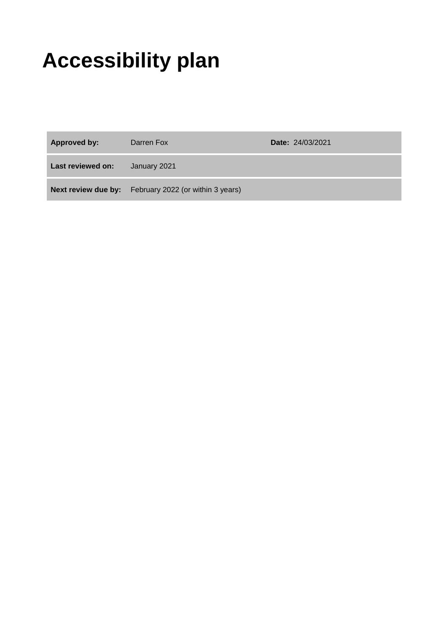# **Accessibility plan**

| Approved by:      | Darren Fox                                                   | <b>Date: 24/03/2021</b> |
|-------------------|--------------------------------------------------------------|-------------------------|
| Last reviewed on: | January 2021                                                 |                         |
|                   | <b>Next review due by:</b> February 2022 (or within 3 years) |                         |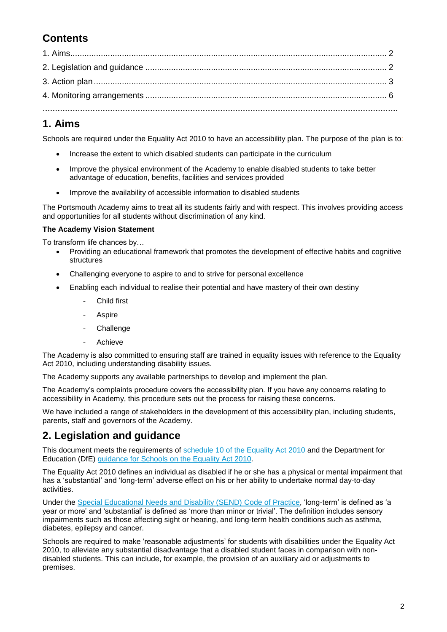# **Contents**

### **1. Aims**

Schools are required under the Equality Act 2010 to have an accessibility plan. The purpose of the plan is to:

- Increase the extent to which disabled students can participate in the curriculum
- Improve the physical environment of the Academy to enable disabled students to take better advantage of education, benefits, facilities and services provided
- Improve the availability of accessible information to disabled students

The Portsmouth Academy aims to treat all its students fairly and with respect. This involves providing access and opportunities for all students without discrimination of any kind.

#### **The Academy Vision Statement**

To transform life chances by…

- Providing an educational framework that promotes the development of effective habits and cognitive structures
- Challenging everyone to aspire to and to strive for personal excellence
- Enabling each individual to realise their potential and have mastery of their own destiny
	- Child first
	- **Aspire**
	- **Challenge**
	- **Achieve**

The Academy is also committed to ensuring staff are trained in equality issues with reference to the Equality Act 2010, including understanding disability issues.

The Academy supports any available partnerships to develop and implement the plan.

The Academy's complaints procedure covers the accessibility plan. If you have any concerns relating to accessibility in Academy, this procedure sets out the process for raising these concerns.

We have included a range of stakeholders in the development of this accessibility plan, including students, parents, staff and governors of the Academy.

#### **2. Legislation and guidance**

This document meets the requirements of [schedule 10 of the Equality Act 2010](http://www.legislation.gov.uk/ukpga/2010/15/schedule/10) and the Department for Education (DfE) guidance for Schools [on the Equality Act 2010.](https://www.gov.uk/government/publications/equality-act-2010-advice-for-schools)

The Equality Act 2010 defines an individual as disabled if he or she has a physical or mental impairment that has a 'substantial' and 'long-term' adverse effect on his or her ability to undertake normal day-to-day activities.

Under the [Special Educational Needs and Disability \(SEND\) Code of Practice,](https://www.gov.uk/government/publications/send-code-of-practice-0-to-25) 'long-term' is defined as 'a year or more' and 'substantial' is defined as 'more than minor or trivial'. The definition includes sensory impairments such as those affecting sight or hearing, and long-term health conditions such as asthma, diabetes, epilepsy and cancer.

Schools are required to make 'reasonable adjustments' for students with disabilities under the Equality Act 2010, to alleviate any substantial disadvantage that a disabled student faces in comparison with nondisabled students. This can include, for example, the provision of an auxiliary aid or adjustments to premises.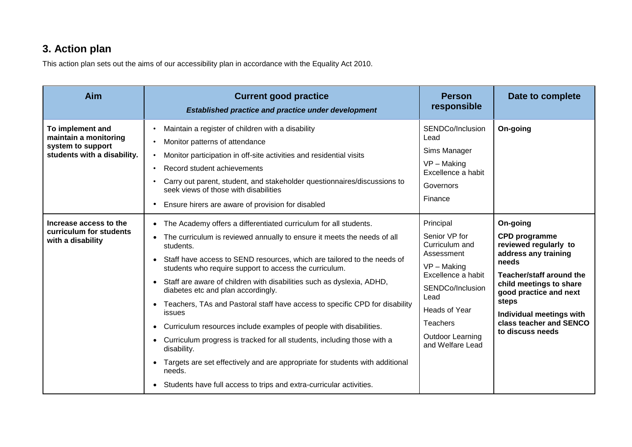## **3. Action plan**

This action plan sets out the aims of our accessibility plan in accordance with the Equality Act 2010.

| Aim                                                                                           | <b>Current good practice</b><br><b>Established practice and practice under development</b>                                                                                                                                                                                                                                                                                                                                                                                                                                                                                                                                                                                                                                                                                                                                                                                                              | <b>Person</b><br>responsible                                                                                                                                                                              | Date to complete                                                                                                                                                                                                                                                       |
|-----------------------------------------------------------------------------------------------|---------------------------------------------------------------------------------------------------------------------------------------------------------------------------------------------------------------------------------------------------------------------------------------------------------------------------------------------------------------------------------------------------------------------------------------------------------------------------------------------------------------------------------------------------------------------------------------------------------------------------------------------------------------------------------------------------------------------------------------------------------------------------------------------------------------------------------------------------------------------------------------------------------|-----------------------------------------------------------------------------------------------------------------------------------------------------------------------------------------------------------|------------------------------------------------------------------------------------------------------------------------------------------------------------------------------------------------------------------------------------------------------------------------|
| To implement and<br>maintain a monitoring<br>system to support<br>students with a disability. | Maintain a register of children with a disability<br>Monitor patterns of attendance<br>Monitor participation in off-site activities and residential visits<br>Record student achievements<br>$\bullet$<br>Carry out parent, student, and stakeholder questionnaires/discussions to<br>seek views of those with disabilities<br>Ensure hirers are aware of provision for disabled                                                                                                                                                                                                                                                                                                                                                                                                                                                                                                                        | SENDCo/Inclusion<br>Lead<br>Sims Manager<br>$VP - Making$<br>Excellence a habit<br>Governors<br>Finance                                                                                                   | On-going                                                                                                                                                                                                                                                               |
| Increase access to the<br>curriculum for students<br>with a disability                        | The Academy offers a differentiated curriculum for all students.<br>$\bullet$<br>The curriculum is reviewed annually to ensure it meets the needs of all<br>$\bullet$<br>students.<br>Staff have access to SEND resources, which are tailored to the needs of<br>students who require support to access the curriculum.<br>Staff are aware of children with disabilities such as dyslexia, ADHD,<br>$\bullet$<br>diabetes etc and plan accordingly.<br>Teachers, TAs and Pastoral staff have access to specific CPD for disability<br>issues<br>Curriculum resources include examples of people with disabilities.<br>Curriculum progress is tracked for all students, including those with a<br>$\bullet$<br>disability.<br>Targets are set effectively and are appropriate for students with additional<br>needs.<br>Students have full access to trips and extra-curricular activities.<br>$\bullet$ | Principal<br>Senior VP for<br>Curriculum and<br>Assessment<br>$VP - Making$<br>Excellence a habit<br>SENDCo/Inclusion<br>Lead<br>Heads of Year<br>Teachers<br><b>Outdoor Learning</b><br>and Welfare Lead | On-going<br><b>CPD</b> programme<br>reviewed regularly to<br>address any training<br>needs<br><b>Teacher/staff around the</b><br>child meetings to share<br>good practice and next<br>steps<br>Individual meetings with<br>class teacher and SENCO<br>to discuss needs |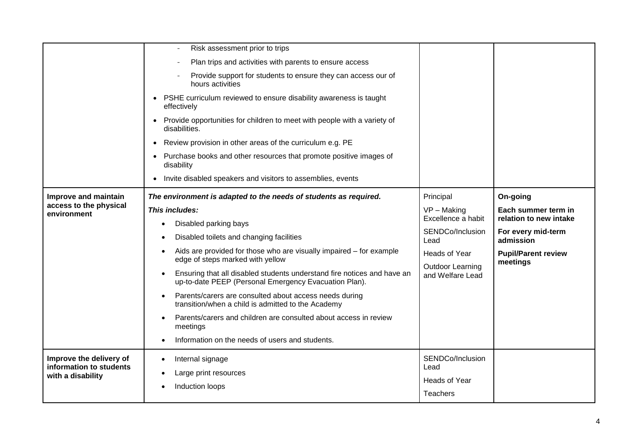|                                              | Risk assessment prior to trips<br>$\overline{\phantom{a}}$                                                                       |                                          |                                        |
|----------------------------------------------|----------------------------------------------------------------------------------------------------------------------------------|------------------------------------------|----------------------------------------|
|                                              | Plan trips and activities with parents to ensure access                                                                          |                                          |                                        |
|                                              | Provide support for students to ensure they can access our of<br>hours activities                                                |                                          |                                        |
|                                              | PSHE curriculum reviewed to ensure disability awareness is taught<br>effectively                                                 |                                          |                                        |
|                                              | Provide opportunities for children to meet with people with a variety of<br>disabilities.                                        |                                          |                                        |
|                                              | Review provision in other areas of the curriculum e.g. PE<br>$\bullet$                                                           |                                          |                                        |
|                                              | Purchase books and other resources that promote positive images of<br>disability                                                 |                                          |                                        |
|                                              | Invite disabled speakers and visitors to assemblies, events<br>$\bullet$                                                         |                                          |                                        |
| Improve and maintain                         | The environment is adapted to the needs of students as required.                                                                 | Principal                                | On-going                               |
| access to the physical<br>environment        | This includes:                                                                                                                   | $VP - Making$<br>Excellence a habit      | Each summer term in                    |
|                                              | Disabled parking bays<br>Disabled toilets and changing facilities                                                                |                                          | relation to new intake                 |
|                                              |                                                                                                                                  | SENDCo/Inclusion<br>Lead                 | For every mid-term<br>admission        |
|                                              | Aids are provided for those who are visually impaired - for example<br>edge of steps marked with yellow                          | Heads of Year<br><b>Outdoor Learning</b> | <b>Pupil/Parent review</b><br>meetings |
|                                              | Ensuring that all disabled students understand fire notices and have an<br>up-to-date PEEP (Personal Emergency Evacuation Plan). | and Welfare Lead                         |                                        |
|                                              | Parents/carers are consulted about access needs during<br>transition/when a child is admitted to the Academy                     |                                          |                                        |
|                                              | Parents/carers and children are consulted about access in review<br>meetings                                                     |                                          |                                        |
|                                              | Information on the needs of users and students.                                                                                  |                                          |                                        |
| Improve the delivery of                      | Internal signage                                                                                                                 | SENDCo/Inclusion                         |                                        |
| information to students<br>with a disability | Large print resources                                                                                                            | Lead                                     |                                        |
|                                              | Induction loops                                                                                                                  | Heads of Year                            |                                        |
|                                              |                                                                                                                                  | <b>Teachers</b>                          |                                        |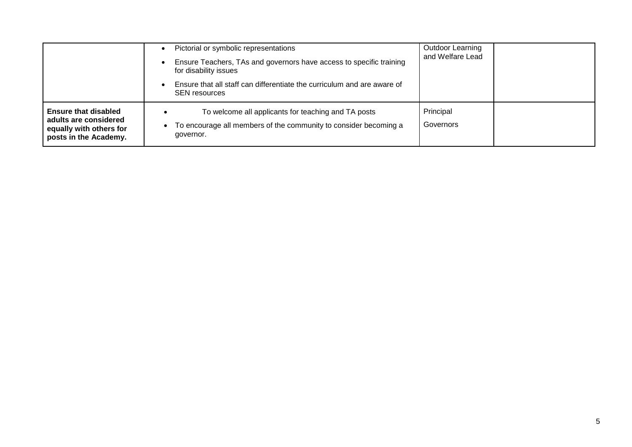|                                                                                                          | Pictorial or symbolic representations<br>Ensure Teachers, TAs and governors have access to specific training<br>for disability issues<br>Ensure that all staff can differentiate the curriculum and are aware of<br><b>SEN resources</b> | Outdoor Learning<br>and Welfare Lead |
|----------------------------------------------------------------------------------------------------------|------------------------------------------------------------------------------------------------------------------------------------------------------------------------------------------------------------------------------------------|--------------------------------------|
| <b>Ensure that disabled</b><br>adults are considered<br>equally with others for<br>posts in the Academy. | To welcome all applicants for teaching and TA posts<br>To encourage all members of the community to consider becoming a<br>governor.                                                                                                     | Principal<br>Governors               |